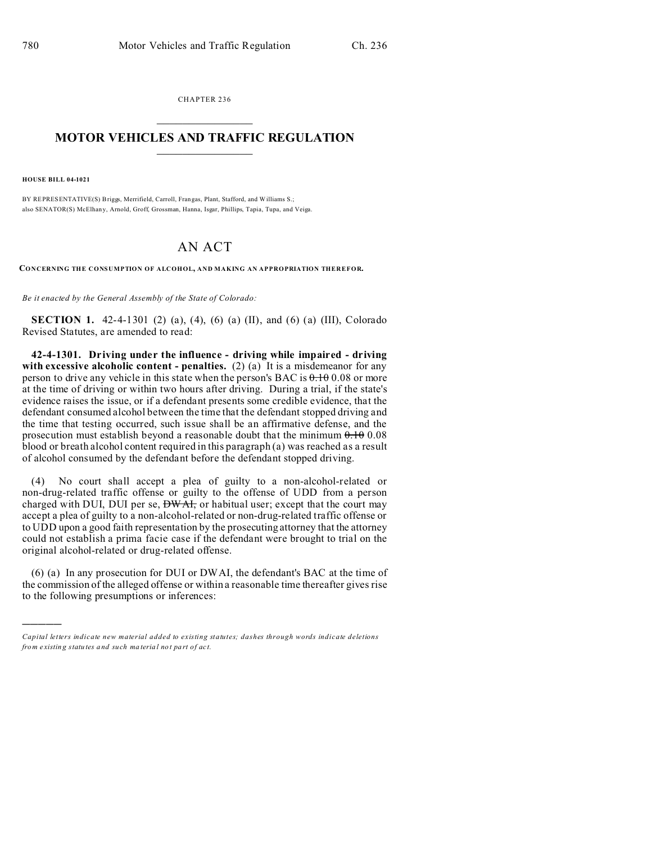CHAPTER 236  $\overline{\phantom{a}}$  , where  $\overline{\phantom{a}}$ 

## **MOTOR VEHICLES AND TRAFFIC REGULATION**  $\frac{1}{2}$  ,  $\frac{1}{2}$  ,  $\frac{1}{2}$  ,  $\frac{1}{2}$  ,  $\frac{1}{2}$  ,  $\frac{1}{2}$  ,  $\frac{1}{2}$

**HOUSE BILL 04-1021**

)))))

BY REPRESENTATIVE(S) Briggs, Merrifield, Carroll, Frangas, Plant, Stafford, and Williams S.; also SENATOR(S) McElhany, Arnold, Groff, Grossman, Hanna, Isgar, Phillips, Tapia, Tupa, and Veiga.

## AN ACT

**CONCERNING THE CONSUMPTION OF ALCOHOL, AND MAKING AN APPROPRIATION THEREFOR.**

*Be it enacted by the General Assembly of the State of Colorado:*

**SECTION 1.** 42-4-1301 (2) (a), (4), (6) (a) (II), and (6) (a) (III), Colorado Revised Statutes, are amended to read:

**42-4-1301. Driving under the influence - driving while impaired - driving** with excessive alcoholic content - penalties. (2) (a) It is a misdemeanor for any person to drive any vehicle in this state when the person's BAC is  $0.1000000000000000000000000000000$ at the time of driving or within two hours after driving. During a trial, if the state's evidence raises the issue, or if a defendant presents some credible evidence, that the defendant consumed alcohol between the time that the defendant stopped driving and the time that testing occurred, such issue shall be an affirmative defense, and the prosecution must establish beyond a reasonable doubt that the minimum  $0.10$  0.08 blood or breath alcohol content required in this paragraph (a) was reached as a result of alcohol consumed by the defendant before the defendant stopped driving.

(4) No court shall accept a plea of guilty to a non-alcohol-related or non-drug-related traffic offense or guilty to the offense of UDD from a person charged with DUI, DUI per se,  $\overrightarrow{DW\text{At}}$ , or habitual user; except that the court may accept a plea of guilty to a non-alcohol-related or non-drug-related traffic offense or to UDD upon a good faith representation by the prosecuting attorney that the attorney could not establish a prima facie case if the defendant were brought to trial on the original alcohol-related or drug-related offense.

(6) (a) In any prosecution for DUI or DWAI, the defendant's BAC at the time of the commission of the alleged offense or within a reasonable time thereafter gives rise to the following presumptions or inferences:

*Capital letters indicate new material added to existing statutes; dashes through words indicate deletions from e xistin g statu tes a nd such ma teria l no t pa rt of ac t.*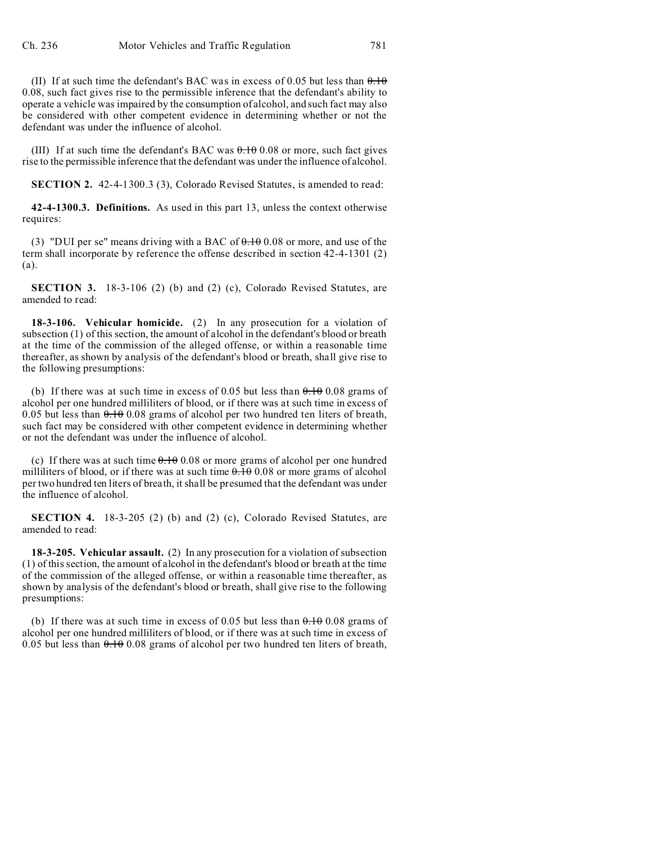(II) If at such time the defendant's BAC was in excess of 0.05 but less than  $\theta$ .  $\theta$ 0.08, such fact gives rise to the permissible inference that the defendant's ability to operate a vehicle was impaired by the consumption of alcohol, and such fact may also be considered with other competent evidence in determining whether or not the defendant was under the influence of alcohol.

(III) If at such time the defendant's BAC was 0.10 0.08 or more, such fact gives rise to the permissible inference that the defendant was under the influence of alcohol.

**SECTION 2.** 42-4-1300.3 (3), Colorado Revised Statutes, is amended to read:

**42-4-1300.3. Definitions.** As used in this part 13, unless the context otherwise requires:

(3) "DUI per se" means driving with a BAC of  $\theta$ .  $\theta$  0.08 or more, and use of the term shall incorporate by reference the offense described in section 42-4-1301 (2) (a).

**SECTION 3.** 18-3-106 (2) (b) and (2) (c), Colorado Revised Statutes, are amended to read:

**18-3-106. Vehicular homicide.** (2) In any prosecution for a violation of subsection (1) of this section, the amount of alcohol in the defendant's blood or breath at the time of the commission of the alleged offense, or within a reasonable time thereafter, as shown by analysis of the defendant's blood or breath, shall give rise to the following presumptions:

(b) If there was at such time in excess of 0.05 but less than  $0.10$  0.08 grams of alcohol per one hundred milliliters of blood, or if there was at such time in excess of 0.05 but less than  $0.1008$  grams of alcohol per two hundred ten liters of breath, such fact may be considered with other competent evidence in determining whether or not the defendant was under the influence of alcohol.

(c) If there was at such time  $0.1000000000000000000000000000000000$  per one hundred milliliters of blood, or if there was at such time  $0.10000$  or more grams of alcohol per two hundred ten liters of breath, it shall be presumed that the defendant was under the influence of alcohol.

**SECTION 4.** 18-3-205 (2) (b) and (2) (c), Colorado Revised Statutes, are amended to read:

**18-3-205. Vehicular assault.** (2) In any prosecution for a violation of subsection (1) of this section, the amount of alcohol in the defendant's blood or breath at the time of the commission of the alleged offense, or within a reasonable time thereafter, as shown by analysis of the defendant's blood or breath, shall give rise to the following presumptions:

(b) If there was at such time in excess of 0.05 but less than  $0.100000000000000000000000000$ alcohol per one hundred milliliters of blood, or if there was at such time in excess of 0.05 but less than  $0.1008$  grams of alcohol per two hundred ten liters of breath,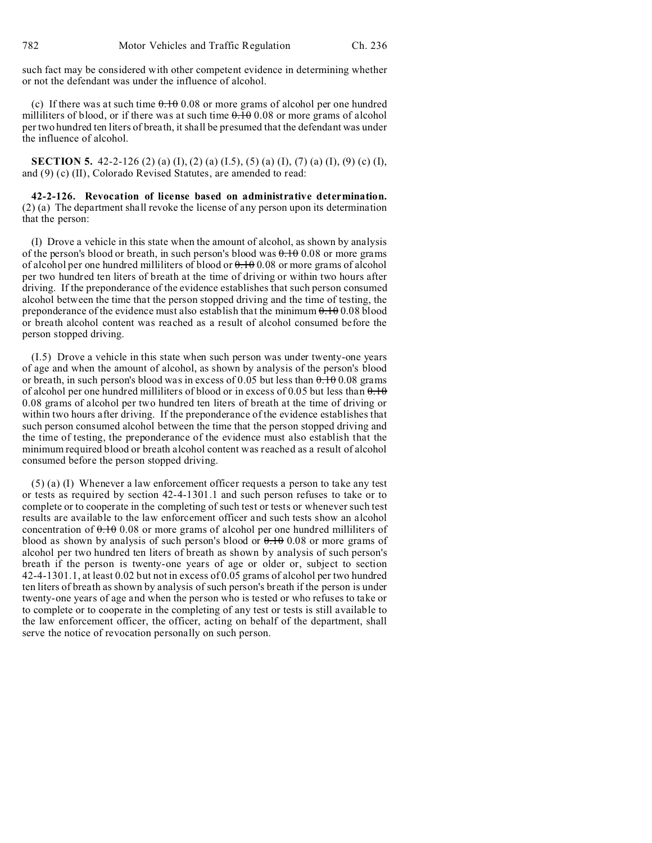such fact may be considered with other competent evidence in determining whether or not the defendant was under the influence of alcohol.

(c) If there was at such time  $0.10000000000000000000000000000000$  per one hundred milliliters of blood, or if there was at such time  $0.1000$  or more grams of alcohol per two hundred ten liters of breath, it shall be presumed that the defendant was under the influence of alcohol.

**SECTION 5.** 42-2-126 (2) (a) (I), (2) (a) (I.5), (5) (a) (I), (7) (a) (I), (9) (c) (I), and (9) (c) (II), Colorado Revised Statutes, are amended to read:

**42-2-126. Revocation of license based on administrative determination.** (2) (a) The department shall revoke the license of any person upon its determination that the person:

(I) Drove a vehicle in this state when the amount of alcohol, as shown by analysis of the person's blood or breath, in such person's blood was  $0.100$  or more grams of alcohol per one hundred milliliters of blood or  $0.1000$  or more grams of alcohol per two hundred ten liters of breath at the time of driving or within two hours after driving. If the preponderance of the evidence establishes that such person consumed alcohol between the time that the person stopped driving and the time of testing, the preponderance of the evidence must also establish that the minimum  $0.10000$  blood or breath alcohol content was reached as a result of alcohol consumed before the person stopped driving.

(I.5) Drove a vehicle in this state when such person was under twenty-one years of age and when the amount of alcohol, as shown by analysis of the person's blood or breath, in such person's blood was in excess of 0.05 but less than  $0.1000$  grams of alcohol per one hundred milliliters of blood or in excess of 0.05 but less than  $0.10$ 0.08 grams of alcohol per two hundred ten liters of breath at the time of driving or within two hours after driving. If the preponderance of the evidence establishes that such person consumed alcohol between the time that the person stopped driving and the time of testing, the preponderance of the evidence must also establish that the minimum required blood or breath alcohol content was reached as a result of alcohol consumed before the person stopped driving.

(5) (a) (I) Whenever a law enforcement officer requests a person to take any test or tests as required by section 42-4-1301.1 and such person refuses to take or to complete or to cooperate in the completing of such test or tests or whenever such test results are available to the law enforcement officer and such tests show an alcohol concentration of  $0.108$  or more grams of alcohol per one hundred milliliters of blood as shown by analysis of such person's blood or  $0.100$  or more grams of alcohol per two hundred ten liters of breath as shown by analysis of such person's breath if the person is twenty-one years of age or older or, subject to section 42-4-1301.1, at least 0.02 but not in excess of 0.05 grams of alcohol per two hundred ten liters of breath as shown by analysis of such person's breath if the person is under twenty-one years of age and when the person who is tested or who refuses to take or to complete or to cooperate in the completing of any test or tests is still available to the law enforcement officer, the officer, acting on behalf of the department, shall serve the notice of revocation personally on such person.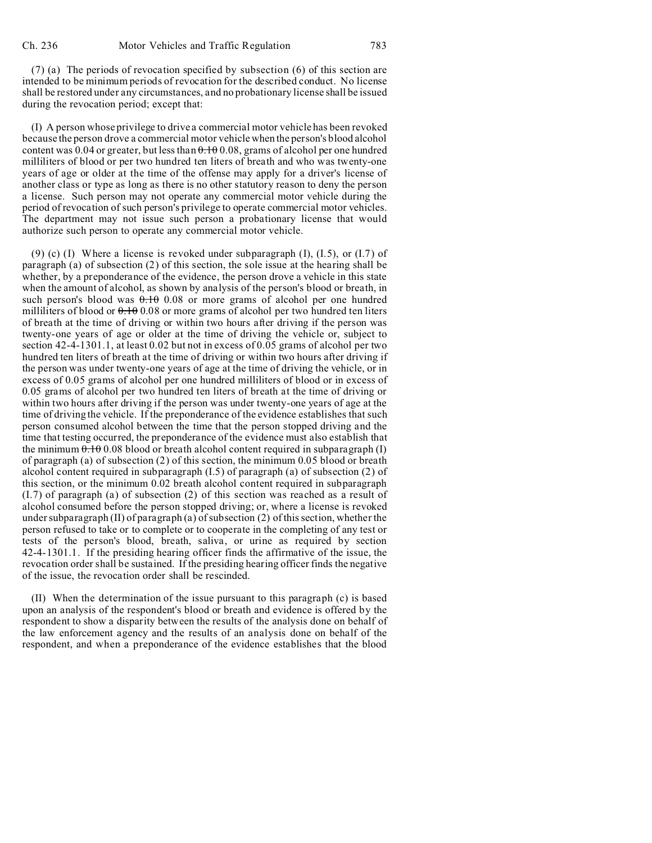(7) (a) The periods of revocation specified by subsection (6) of this section are intended to be minimum periods of revocation for the described conduct. No license shall be restored under any circumstances, and no probationary license shall be issued during the revocation period; except that:

(I) A person whose privilege to drive a commercial motor vehicle has been revoked because the person drove a commercial motor vehicle when the person's blood alcohol content was 0.04 or greater, but less than  $0.1000$ , grams of alcohol per one hundred milliliters of blood or per two hundred ten liters of breath and who was twenty-one years of age or older at the time of the offense may apply for a driver's license of another class or type as long as there is no other statutory reason to deny the person a license. Such person may not operate any commercial motor vehicle during the period of revocation of such person's privilege to operate commercial motor vehicles. The department may not issue such person a probationary license that would authorize such person to operate any commercial motor vehicle.

(9) (c) (I) Where a license is revoked under subparagraph  $(I)$ ,  $(I.5)$ , or  $(I.7)$  of paragraph (a) of subsection (2) of this section, the sole issue at the hearing shall be whether, by a preponderance of the evidence, the person drove a vehicle in this state when the amount of alcohol, as shown by analysis of the person's blood or breath, in such person's blood was  $0.10$  0.08 or more grams of alcohol per one hundred milliliters of blood or  $0.10000$  or more grams of alcohol per two hundred ten liters of breath at the time of driving or within two hours after driving if the person was twenty-one years of age or older at the time of driving the vehicle or, subject to section 42-4-1301.1, at least 0.02 but not in excess of 0.05 grams of alcohol per two hundred ten liters of breath at the time of driving or within two hours after driving if the person was under twenty-one years of age at the time of driving the vehicle, or in excess of 0.05 grams of alcohol per one hundred milliliters of blood or in excess of 0.05 grams of alcohol per two hundred ten liters of breath at the time of driving or within two hours after driving if the person was under twenty-one years of age at the time of driving the vehicle. If the preponderance of the evidence establishes that such person consumed alcohol between the time that the person stopped driving and the time that testing occurred, the preponderance of the evidence must also establish that the minimum 0.10 0.08 blood or breath alcohol content required in subparagraph (I) of paragraph (a) of subsection (2) of this section, the minimum 0.05 blood or breath alcohol content required in subparagraph  $(1.5)$  of paragraph  $(a)$  of subsection  $(2)$  of this section, or the minimum 0.02 breath alcohol content required in subparagraph (I.7) of paragraph (a) of subsection (2) of this section was reached as a result of alcohol consumed before the person stopped driving; or, where a license is revoked under subparagraph (II) of paragraph (a) of subsection (2) of this section, whether the person refused to take or to complete or to cooperate in the completing of any test or tests of the person's blood, breath, saliva, or urine as required by section 42-4-1301.1. If the presiding hearing officer finds the affirmative of the issue, the revocation order shall be sustained. If the presiding hearing officer finds the negative of the issue, the revocation order shall be rescinded.

(II) When the determination of the issue pursuant to this paragraph (c) is based upon an analysis of the respondent's blood or breath and evidence is offered by the respondent to show a disparity between the results of the analysis done on behalf of the law enforcement agency and the results of an analysis done on behalf of the respondent, and when a preponderance of the evidence establishes that the blood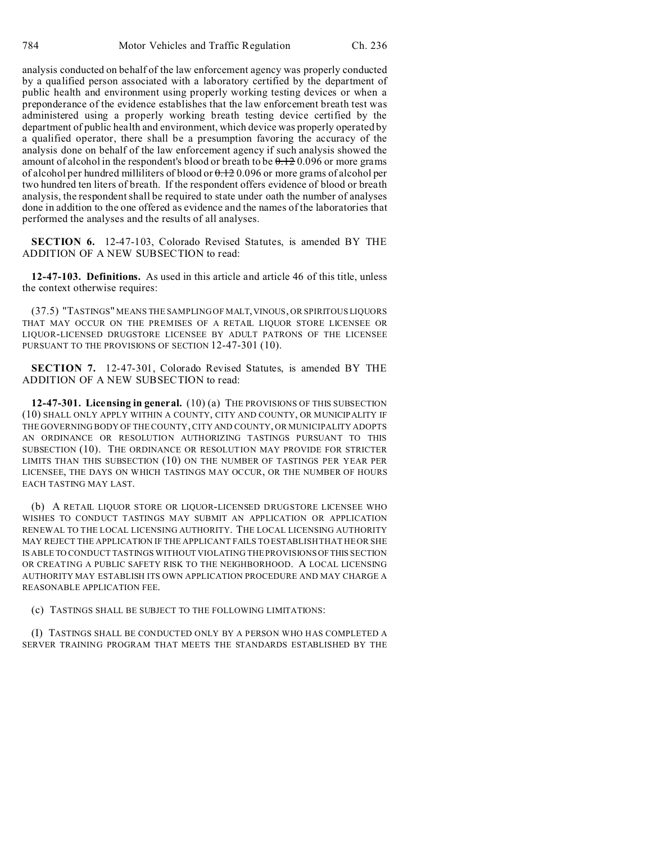analysis conducted on behalf of the law enforcement agency was properly conducted by a qualified person associated with a laboratory certified by the department of public health and environment using properly working testing devices or when a preponderance of the evidence establishes that the law enforcement breath test was administered using a properly working breath testing device certified by the department of public health and environment, which device was properly operated by a qualified operator, there shall be a presumption favoring the accuracy of the analysis done on behalf of the law enforcement agency if such analysis showed the amount of alcohol in the respondent's blood or breath to be  $0.12 0.096$  or more grams of alcohol per hundred milliliters of blood or  $\theta$ . 120.096 or more grams of alcohol per two hundred ten liters of breath. If the respondent offers evidence of blood or breath analysis, the respondent shall be required to state under oath the number of analyses done in addition to the one offered as evidence and the names of the laboratories that performed the analyses and the results of all analyses.

**SECTION 6.** 12-47-103, Colorado Revised Statutes, is amended BY THE ADDITION OF A NEW SUBSECTION to read:

**12-47-103. Definitions.** As used in this article and article 46 of this title, unless the context otherwise requires:

(37.5) "TASTINGS" MEANS THE SAMPLING OF MALT,VINOUS, OR SPIRITOUS LIQUORS THAT MAY OCCUR ON THE PREMISES OF A RETAIL LIQUOR STORE LICENSEE OR LIQUOR-LICENSED DRUGSTORE LICENSEE BY ADULT PATRONS OF THE LICENSEE PURSUANT TO THE PROVISIONS OF SECTION 12-47-301 (10).

**SECTION 7.** 12-47-301, Colorado Revised Statutes, is amended BY THE ADDITION OF A NEW SUBSECTION to read:

**12-47-301. Licensing in general.** (10) (a) THE PROVISIONS OF THIS SUBSECTION (10) SHALL ONLY APPLY WITHIN A COUNTY, CITY AND COUNTY, OR MUNICIPALITY IF THE GOVERNING BODY OF THE COUNTY, CITY AND COUNTY, OR MUNICIPALITY ADOPTS AN ORDINANCE OR RESOLUTION AUTHORIZING TASTINGS PURSUANT TO THIS SUBSECTION (10). THE ORDINANCE OR RESOLUTION MAY PROVIDE FOR STRICTER LIMITS THAN THIS SUBSECTION (10) ON THE NUMBER OF TASTINGS PER YEAR PER LICENSEE, THE DAYS ON WHICH TASTINGS MAY OCCUR, OR THE NUMBER OF HOURS EACH TASTING MAY LAST.

(b) A RETAIL LIQUOR STORE OR LIQUOR-LICENSED DRUGSTORE LICENSEE WHO WISHES TO CONDUCT TASTINGS MAY SUBMIT AN APPLICATION OR APPLICATION RENEWAL TO THE LOCAL LICENSING AUTHORITY. THE LOCAL LICENSING AUTHORITY MAY REJECT THE APPLICATION IF THE APPLICANT FAILS TO ESTABLISH THAT HE OR SHE IS ABLE TO CONDUCT TASTINGS WITHOUT VIOLATING THE PROVISIONSOFTHIS SECTION OR CREATING A PUBLIC SAFETY RISK TO THE NEIGHBORHOOD. A LOCAL LICENSING AUTHORITY MAY ESTABLISH ITS OWN APPLICATION PROCEDURE AND MAY CHARGE A REASONABLE APPLICATION FEE.

(c) TASTINGS SHALL BE SUBJECT TO THE FOLLOWING LIMITATIONS:

(I) TASTINGS SHALL BE CONDUCTED ONLY BY A PERSON WHO HAS COMPLETED A SERVER TRAINING PROGRAM THAT MEETS THE STANDARDS ESTABLISHED BY THE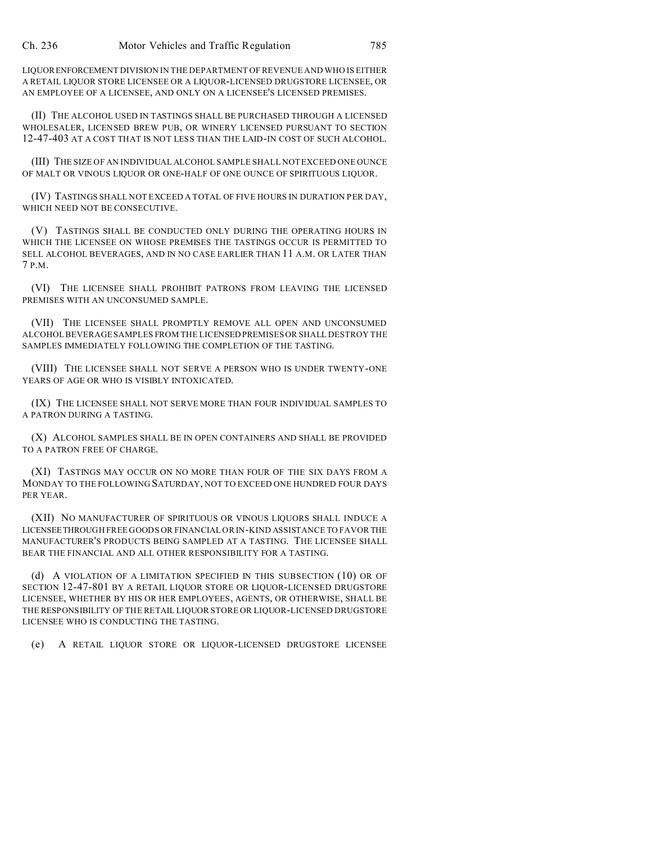LIQUORENFORCEMENT DIVISION IN THE DEPARTMENT OF REVENUE AND WHO IS EITHER A RETAIL LIQUOR STORE LICENSEE OR A LIQUOR-LICENSED DRUGSTORE LICENSEE, OR AN EMPLOYEE OF A LICENSEE, AND ONLY ON A LICENSEE'S LICENSED PREMISES.

(II) THE ALCOHOL USED IN TASTINGS SHALL BE PURCHASED THROUGH A LICENSED WHOLESALER, LICENSED BREW PUB, OR WINERY LICENSED PURSUANT TO SECTION 12-47-403 AT A COST THAT IS NOT LESS THAN THE LAID-IN COST OF SUCH ALCOHOL.

(III) THE SIZE OF AN INDIVIDUAL ALCOHOL SAMPLE SHALL NOT EXCEED ONE OUNCE OF MALT OR VINOUS LIQUOR OR ONE-HALF OF ONE OUNCE OF SPIRITUOUS LIQUOR.

(IV) TASTINGS SHALL NOT EXCEED A TOTAL OF FIVE HOURS IN DURATION PER DAY, WHICH NEED NOT BE CONSECUTIVE.

(V) TASTINGS SHALL BE CONDUCTED ONLY DURING THE OPERATING HOURS IN WHICH THE LICENSEE ON WHOSE PREMISES THE TASTINGS OCCUR IS PERMITTED TO SELL ALCOHOL BEVERAGES, AND IN NO CASE EARLIER THAN 11 A.M. OR LATER THAN 7 P.M.

(VI) THE LICENSEE SHALL PROHIBIT PATRONS FROM LEAVING THE LICENSED PREMISES WITH AN UNCONSUMED SAMPLE.

(VII) THE LICENSEE SHALL PROMPTLY REMOVE ALL OPEN AND UNCONSUMED ALCOHOL BEVERAGE SAMPLES FROM THE LICENSED PREMISES OR SHALL DESTROY THE SAMPLES IMMEDIATELY FOLLOWING THE COMPLETION OF THE TASTING.

(VIII) THE LICENSEE SHALL NOT SERVE A PERSON WHO IS UNDER TWENTY-ONE YEARS OF AGE OR WHO IS VISIBLY INTOXICATED.

(IX) THE LICENSEE SHALL NOT SERVE MORE THAN FOUR INDIVIDUAL SAMPLES TO A PATRON DURING A TASTING.

(X) ALCOHOL SAMPLES SHALL BE IN OPEN CONTAINERS AND SHALL BE PROVIDED TO A PATRON FREE OF CHARGE.

(XI) TASTINGS MAY OCCUR ON NO MORE THAN FOUR OF THE SIX DAYS FROM A MONDAY TO THE FOLLOWING SATURDAY, NOT TO EXCEED ONE HUNDRED FOUR DAYS PER YEAR.

(XII) NO MANUFACTURER OF SPIRITUOUS OR VINOUS LIQUORS SHALL INDUCE A LICENSEETHROUGH FREE GOODS OR FINANCIAL OR IN-KIND ASSISTANCE TO FAVOR THE MANUFACTURER'S PRODUCTS BEING SAMPLED AT A TASTING. THE LICENSEE SHALL BEAR THE FINANCIAL AND ALL OTHER RESPONSIBILITY FOR A TASTING.

(d) A VIOLATION OF A LIMITATION SPECIFIED IN THIS SUBSECTION (10) OR OF SECTION 12-47-801 BY A RETAIL LIQUOR STORE OR LIQUOR-LICENSED DRUGSTORE LICENSEE, WHETHER BY HIS OR HER EMPLOYEES, AGENTS, OR OTHERWISE, SHALL BE THE RESPONSIBILITY OF THE RETAIL LIQUOR STORE OR LIQUOR-LICENSED DRUGSTORE LICENSEE WHO IS CONDUCTING THE TASTING.

(e) A RETAIL LIQUOR STORE OR LIQUOR-LICENSED DRUGSTORE LICENSEE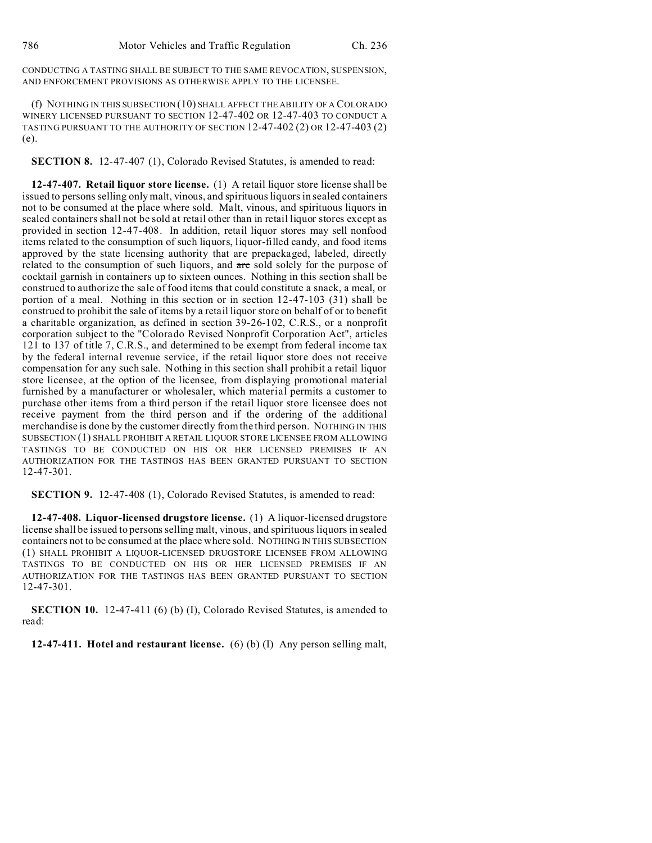CONDUCTING A TASTING SHALL BE SUBJECT TO THE SAME REVOCATION, SUSPENSION, AND ENFORCEMENT PROVISIONS AS OTHERWISE APPLY TO THE LICENSEE.

(f) NOTHING IN THIS SUBSECTION (10) SHALL AFFECT THE ABILITY OF A COLORADO WINERY LICENSED PURSUANT TO SECTION 12-47-402 OR 12-47-403 TO CONDUCT A TASTING PURSUANT TO THE AUTHORITY OF SECTION 12-47-402 (2) OR 12-47-403 (2) (e).

**SECTION 8.** 12-47-407 (1), Colorado Revised Statutes, is amended to read:

**12-47-407. Retail liquor store license.** (1) A retail liquor store license shall be issued to persons selling only malt, vinous, and spirituous liquors in sealed containers not to be consumed at the place where sold. Malt, vinous, and spirituous liquors in sealed containers shall not be sold at retail other than in retail liquor stores except as provided in section 12-47-408. In addition, retail liquor stores may sell nonfood items related to the consumption of such liquors, liquor-filled candy, and food items approved by the state licensing authority that are prepackaged, labeled, directly related to the consumption of such liquors, and are sold solely for the purpose of cocktail garnish in containers up to sixteen ounces. Nothing in this section shall be construed to authorize the sale of food items that could constitute a snack, a meal, or portion of a meal. Nothing in this section or in section 12-47-103 (31) shall be construed to prohibit the sale of items by a retail liquor store on behalf of or to benefit a charitable organization, as defined in section 39-26-102, C.R.S., or a nonprofit corporation subject to the "Colorado Revised Nonprofit Corporation Act", articles 121 to 137 of title 7, C.R.S., and determined to be exempt from federal income tax by the federal internal revenue service, if the retail liquor store does not receive compensation for any such sale. Nothing in this section shall prohibit a retail liquor store licensee, at the option of the licensee, from displaying promotional material furnished by a manufacturer or wholesaler, which material permits a customer to purchase other items from a third person if the retail liquor store licensee does not receive payment from the third person and if the ordering of the additional merchandise is done by the customer directly from the third person. NOTHING IN THIS SUBSECTION (1) SHALL PROHIBIT A RETAIL LIQUOR STORE LICENSEE FROM ALLOWING TASTINGS TO BE CONDUCTED ON HIS OR HER LICENSED PREMISES IF AN AUTHORIZATION FOR THE TASTINGS HAS BEEN GRANTED PURSUANT TO SECTION 12-47-301.

**SECTION 9.** 12-47-408 (1), Colorado Revised Statutes, is amended to read:

**12-47-408. Liquor-licensed drugstore license.** (1) A liquor-licensed drugstore license shall be issued to persons selling malt, vinous, and spirituous liquors in sealed containers not to be consumed at the place where sold. NOTHING IN THIS SUBSECTION (1) SHALL PROHIBIT A LIQUOR-LICENSED DRUGSTORE LICENSEE FROM ALLOWING TASTINGS TO BE CONDUCTED ON HIS OR HER LICENSED PREMISES IF AN AUTHORIZATION FOR THE TASTINGS HAS BEEN GRANTED PURSUANT TO SECTION 12-47-301.

**SECTION 10.** 12-47-411 (6) (b) (I), Colorado Revised Statutes, is amended to read:

**12-47-411. Hotel and restaurant license.** (6) (b) (I) Any person selling malt,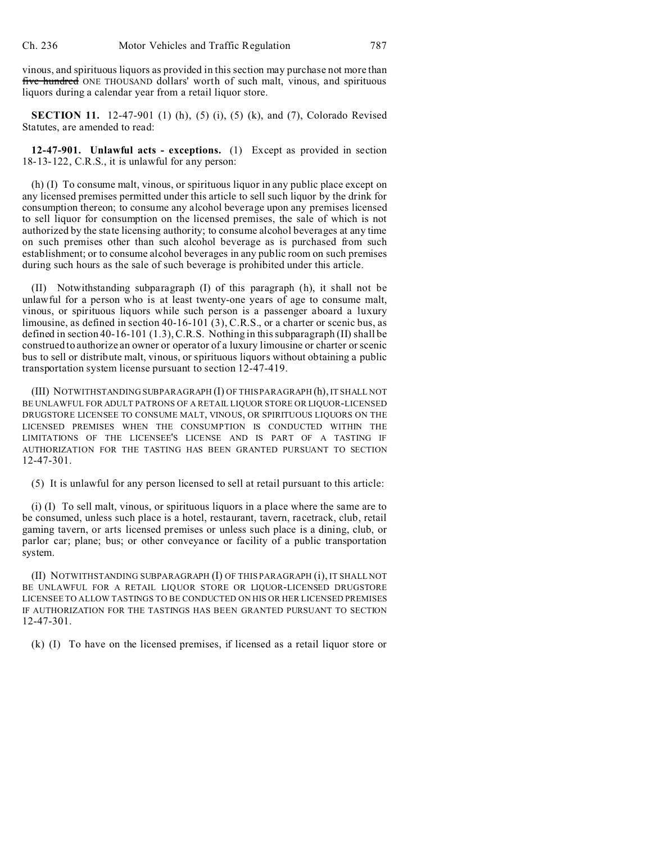vinous, and spirituous liquors as provided in this section may purchase not more than five hundred ONE THOUSAND dollars' worth of such malt, vinous, and spirituous liquors during a calendar year from a retail liquor store.

**SECTION 11.** 12-47-901 (1) (h), (5) (i), (5) (k), and (7), Colorado Revised Statutes, are amended to read:

**12-47-901. Unlawful acts - exceptions.** (1) Except as provided in section 18-13-122, C.R.S., it is unlawful for any person:

(h) (I) To consume malt, vinous, or spirituous liquor in any public place except on any licensed premises permitted under this article to sell such liquor by the drink for consumption thereon; to consume any alcohol beverage upon any premises licensed to sell liquor for consumption on the licensed premises, the sale of which is not authorized by the state licensing authority; to consume alcohol beverages at any time on such premises other than such alcohol beverage as is purchased from such establishment; or to consume alcohol beverages in any public room on such premises during such hours as the sale of such beverage is prohibited under this article.

(II) Notwithstanding subparagraph (I) of this paragraph (h), it shall not be unlawful for a person who is at least twenty-one years of age to consume malt, vinous, or spirituous liquors while such person is a passenger aboard a luxury limousine, as defined in section 40-16-101 (3), C.R.S., or a charter or scenic bus, as defined in section 40-16-101 (1.3), C.R.S. Nothing in this subparagraph (II) shall be construed to authorize an owner or operator of a luxury limousine or charter or scenic bus to sell or distribute malt, vinous, or spirituous liquors without obtaining a public transportation system license pursuant to section 12-47-419.

(III) NOTWITHSTANDING SUBPARAGRAPH (I) OF THIS PARAGRAPH (h), IT SHALL NOT BE UNLAWFUL FOR ADULT PATRONS OF A RETAIL LIQUOR STORE OR LIQUOR-LICENSED DRUGSTORE LICENSEE TO CONSUME MALT, VINOUS, OR SPIRITUOUS LIQUORS ON THE LICENSED PREMISES WHEN THE CONSUMPTION IS CONDUCTED WITHIN THE LIMITATIONS OF THE LICENSEE'S LICENSE AND IS PART OF A TASTING IF AUTHORIZATION FOR THE TASTING HAS BEEN GRANTED PURSUANT TO SECTION 12-47-301.

(5) It is unlawful for any person licensed to sell at retail pursuant to this article:

(i) (I) To sell malt, vinous, or spirituous liquors in a place where the same are to be consumed, unless such place is a hotel, restaurant, tavern, racetrack, club, retail gaming tavern, or arts licensed premises or unless such place is a dining, club, or parlor car; plane; bus; or other conveyance or facility of a public transportation system.

(II) NOTWITHSTANDING SUBPARAGRAPH (I) OF THIS PARAGRAPH (i), IT SHALL NOT BE UNLAWFUL FOR A RETAIL LIQUOR STORE OR LIQUOR-LICENSED DRUGSTORE LICENSEE TO ALLOW TASTINGS TO BE CONDUCTED ON HIS OR HER LICENSED PREMISES IF AUTHORIZATION FOR THE TASTINGS HAS BEEN GRANTED PURSUANT TO SECTION 12-47-301.

(k) (I) To have on the licensed premises, if licensed as a retail liquor store or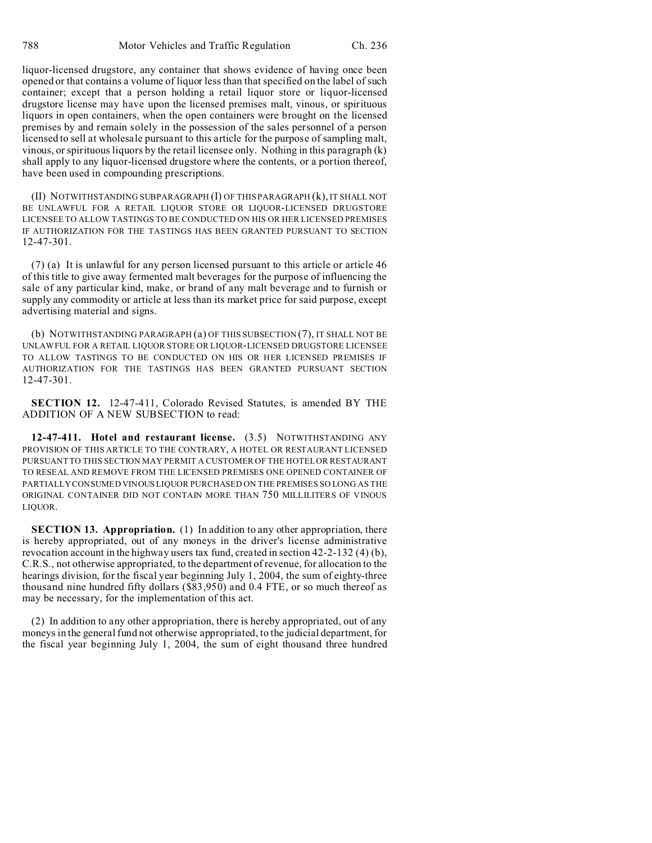liquor-licensed drugstore, any container that shows evidence of having once been opened or that contains a volume of liquor less than that specified on the label of such container; except that a person holding a retail liquor store or liquor-licensed drugstore license may have upon the licensed premises malt, vinous, or spirituous liquors in open containers, when the open containers were brought on the licensed premises by and remain solely in the possession of the sales personnel of a person licensed to sell at wholesale pursuant to this article for the purpose of sampling malt, vinous, or spirituous liquors by the retail licensee only. Nothing in this paragraph (k) shall apply to any liquor-licensed drugstore where the contents, or a portion thereof, have been used in compounding prescriptions.

(II) NOTWITHSTANDING SUBPARAGRAPH (I) OF THIS PARAGRAPH (k), IT SHALL NOT BE UNLAWFUL FOR A RETAIL LIQUOR STORE OR LIQUOR-LICENSED DRUGSTORE LICENSEE TO ALLOW TASTINGS TO BE CONDUCTED ON HIS OR HER LICENSED PREMISES IF AUTHORIZATION FOR THE TASTINGS HAS BEEN GRANTED PURSUANT TO SECTION 12-47-301.

(7) (a) It is unlawful for any person licensed pursuant to this article or article 46 of this title to give away fermented malt beverages for the purpose of influencing the sale of any particular kind, make, or brand of any malt beverage and to furnish or supply any commodity or article at less than its market price for said purpose, except advertising material and signs.

(b) NOTWITHSTANDING PARAGRAPH (a) OF THIS SUBSECTION (7), IT SHALL NOT BE UNLAWFUL FOR A RETAIL LIQUOR STORE OR LIQUOR-LICENSED DRUGSTORE LICENSEE TO ALLOW TASTINGS TO BE CONDUCTED ON HIS OR HER LICENSED PREMISES IF AUTHORIZATION FOR THE TASTINGS HAS BEEN GRANTED PURSUANT SECTION 12-47-301.

**SECTION 12.** 12-47-411, Colorado Revised Statutes, is amended BY THE ADDITION OF A NEW SUBSECTION to read:

**12-47-411. Hotel and restaurant license.** (3.5) NOTWITHSTANDING ANY PROVISION OF THIS ARTICLE TO THE CONTRARY, A HOTEL OR RESTAURANT LICENSED PURSUANT TO THIS SECTION MAY PERMIT A CUSTOMER OF THE HOTEL OR RESTAURANT TO RESEAL AND REMOVE FROM THE LICENSED PREMISES ONE OPENED CONTAINER OF PARTIALLY CONSUMED VINOUS LIQUOR PURCHASED ON THE PREMISES SO LONG AS THE ORIGINAL CONTAINER DID NOT CONTAIN MORE THAN 750 MILLILITERS OF VINOUS LIQUOR.

**SECTION 13. Appropriation.** (1) In addition to any other appropriation, there is hereby appropriated, out of any moneys in the driver's license administrative revocation account in the highway users tax fund, created in section 42-2-132 (4) (b), C.R.S., not otherwise appropriated, to the department of revenue, for allocation to the hearings division, for the fiscal year beginning July 1, 2004, the sum of eighty-three thousand nine hundred fifty dollars (\$83,950) and 0.4 FTE, or so much thereof as may be necessary, for the implementation of this act.

(2) In addition to any other appropriation, there is hereby appropriated, out of any moneys in the general fund not otherwise appropriated, to the judicial department, for the fiscal year beginning July 1, 2004, the sum of eight thousand three hundred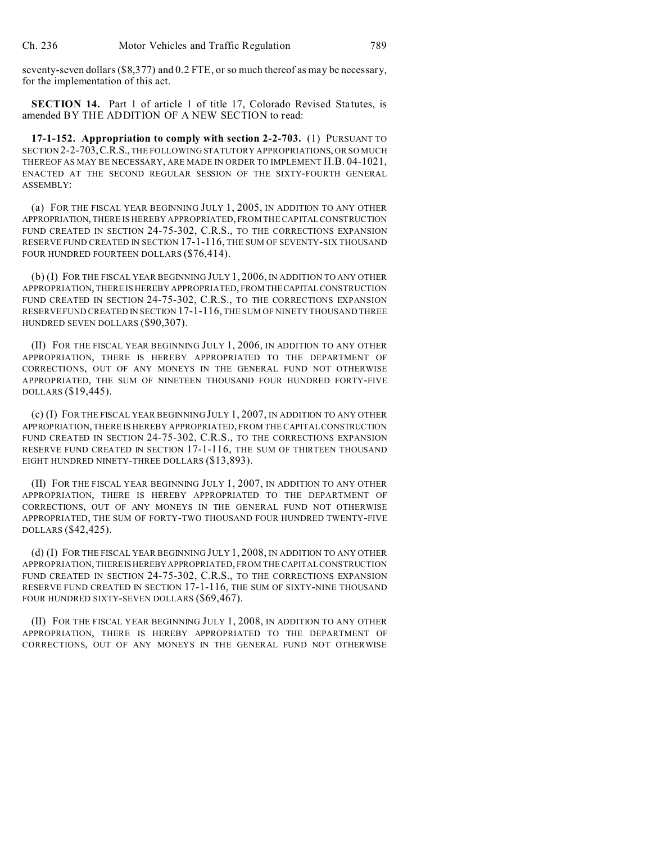seventy-seven dollars (\$8,377) and 0.2 FTE, or so much thereof as may be necessary, for the implementation of this act.

**SECTION 14.** Part 1 of article 1 of title 17, Colorado Revised Statutes, is amended BY THE ADDITION OF A NEW SECTION to read:

**17-1-152. Appropriation to comply with section 2-2-703.** (1) PURSUANT TO SECTION 2-2-703,C.R.S., THE FOLLOWING STATUTORY APPROPRIATIONS, OR SO MUCH THEREOF AS MAY BE NECESSARY, ARE MADE IN ORDER TO IMPLEMENT H.B. 04-1021, ENACTED AT THE SECOND REGULAR SESSION OF THE SIXTY-FOURTH GENERAL ASSEMBLY:

(a) FOR THE FISCAL YEAR BEGINNING JULY 1, 2005, IN ADDITION TO ANY OTHER APPROPRIATION, THERE IS HEREBY APPROPRIATED, FROM THE CAPITAL CONSTRUCTION FUND CREATED IN SECTION 24-75-302, C.R.S., TO THE CORRECTIONS EXPANSION RESERVE FUND CREATED IN SECTION 17-1-116, THE SUM OF SEVENTY-SIX THOUSAND FOUR HUNDRED FOURTEEN DOLLARS (\$76,414).

(b) (I) FOR THE FISCAL YEAR BEGINNING JULY 1, 2006, IN ADDITION TO ANY OTHER APPROPRIATION, THERE IS HEREBY APPROPRIATED, FROMTHECAPITALCONSTRUCTION FUND CREATED IN SECTION 24-75-302, C.R.S., TO THE CORRECTIONS EXPANSION RESERVE FUND CREATED IN SECTION 17-1-116, THE SUM OF NINETY THOUSAND THREE HUNDRED SEVEN DOLLARS (\$90,307).

(II) FOR THE FISCAL YEAR BEGINNING JULY 1, 2006, IN ADDITION TO ANY OTHER APPROPRIATION, THERE IS HEREBY APPROPRIATED TO THE DEPARTMENT OF CORRECTIONS, OUT OF ANY MONEYS IN THE GENERAL FUND NOT OTHERWISE APPROPRIATED, THE SUM OF NINETEEN THOUSAND FOUR HUNDRED FORTY-FIVE DOLLARS (\$19,445).

(c) (I) FOR THE FISCAL YEAR BEGINNING JULY 1, 2007, IN ADDITION TO ANY OTHER APPROPRIATION, THERE IS HEREBY APPROPRIATED, FROM THE CAPITAL CONSTRUCTION FUND CREATED IN SECTION 24-75-302, C.R.S., TO THE CORRECTIONS EXPANSION RESERVE FUND CREATED IN SECTION 17-1-116, THE SUM OF THIRTEEN THOUSAND EIGHT HUNDRED NINETY-THREE DOLLARS (\$13,893).

(II) FOR THE FISCAL YEAR BEGINNING JULY 1, 2007, IN ADDITION TO ANY OTHER APPROPRIATION, THERE IS HEREBY APPROPRIATED TO THE DEPARTMENT OF CORRECTIONS, OUT OF ANY MONEYS IN THE GENERAL FUND NOT OTHERWISE APPROPRIATED, THE SUM OF FORTY-TWO THOUSAND FOUR HUNDRED TWENTY-FIVE DOLLARS (\$42,425).

(d) (I) FOR THE FISCAL YEAR BEGINNING JULY 1, 2008, IN ADDITION TO ANY OTHER APPROPRIATION, THEREISHEREBYAPPROPRIATED, FROM THE CAPITAL CONSTRUCTION FUND CREATED IN SECTION 24-75-302, C.R.S., TO THE CORRECTIONS EXPANSION RESERVE FUND CREATED IN SECTION 17-1-116, THE SUM OF SIXTY-NINE THOUSAND FOUR HUNDRED SIXTY-SEVEN DOLLARS (\$69,467).

(II) FOR THE FISCAL YEAR BEGINNING JULY 1, 2008, IN ADDITION TO ANY OTHER APPROPRIATION, THERE IS HEREBY APPROPRIATED TO THE DEPARTMENT OF CORRECTIONS, OUT OF ANY MONEYS IN THE GENERAL FUND NOT OTHERWISE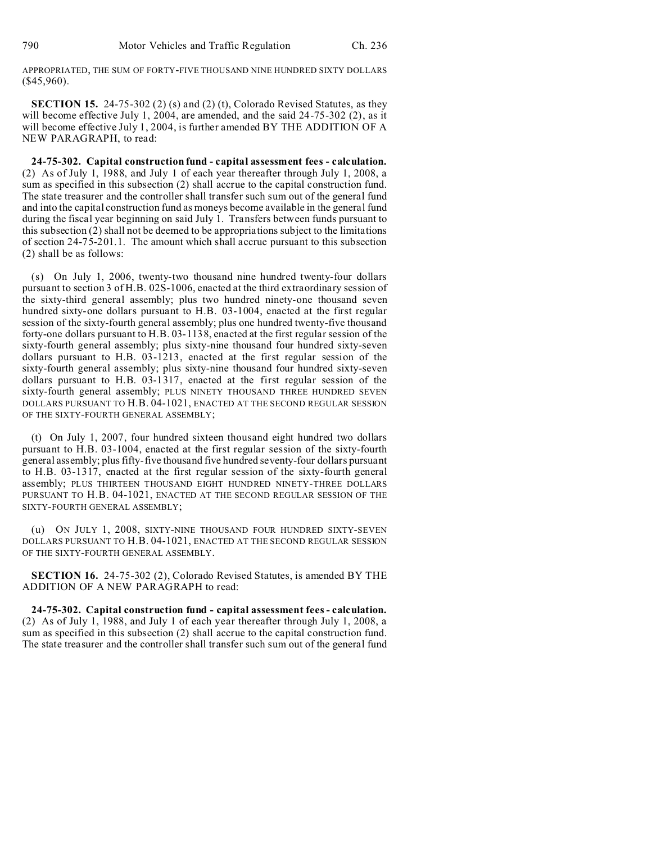APPROPRIATED, THE SUM OF FORTY-FIVE THOUSAND NINE HUNDRED SIXTY DOLLARS (\$45,960).

**SECTION 15.** 24-75-302 (2) (s) and (2) (t), Colorado Revised Statutes, as they will become effective July 1, 2004, are amended, and the said 24-75-302 (2), as it will become effective July 1, 2004, is further amended BY THE ADDITION OF A NEW PARAGRAPH, to read:

**24-75-302. Capital construction fund - capital assessment fees - calculation.** (2) As of July 1, 1988, and July 1 of each year thereafter through July 1, 2008, a sum as specified in this subsection (2) shall accrue to the capital construction fund. The state treasurer and the controller shall transfer such sum out of the general fund and into the capital construction fund as moneys become available in the general fund during the fiscal year beginning on said July 1. Transfers between funds pursuant to this subsection (2) shall not be deemed to be appropriations subject to the limitations of section 24-75-201.1. The amount which shall accrue pursuant to this subsection (2) shall be as follows:

(s) On July 1, 2006, twenty-two thousand nine hundred twenty-four dollars pursuant to section 3 of H.B. 02S-1006, enacted at the third extraordinary session of the sixty-third general assembly; plus two hundred ninety-one thousand seven hundred sixty-one dollars pursuant to H.B. 03-1004, enacted at the first regular session of the sixty-fourth general assembly; plus one hundred twenty-five thousand forty-one dollars pursuant to H.B. 03-1138, enacted at the first regular session of the sixty-fourth general assembly; plus sixty-nine thousand four hundred sixty-seven dollars pursuant to H.B. 03-1213, enacted at the first regular session of the sixty-fourth general assembly; plus sixty-nine thousand four hundred sixty-seven dollars pursuant to H.B. 03-1317, enacted at the first regular session of the sixty-fourth general assembly; PLUS NINETY THOUSAND THREE HUNDRED SEVEN DOLLARS PURSUANT TO H.B. 04-1021, ENACTED AT THE SECOND REGULAR SESSION OF THE SIXTY-FOURTH GENERAL ASSEMBLY;

(t) On July 1, 2007, four hundred sixteen thousand eight hundred two dollars pursuant to H.B. 03-1004, enacted at the first regular session of the sixty-fourth general assembly; plus fifty-five thousand five hundred seventy-four dollars pursuant to H.B. 03-1317, enacted at the first regular session of the sixty-fourth general assembly; PLUS THIRTEEN THOUSAND EIGHT HUNDRED NINETY-THREE DOLLARS PURSUANT TO H.B. 04-1021, ENACTED AT THE SECOND REGULAR SESSION OF THE SIXTY-FOURTH GENERAL ASSEMBLY;

(u) ON JULY 1, 2008, SIXTY-NINE THOUSAND FOUR HUNDRED SIXTY-SEVEN DOLLARS PURSUANT TO H.B. 04-1021, ENACTED AT THE SECOND REGULAR SESSION OF THE SIXTY-FOURTH GENERAL ASSEMBLY.

**SECTION 16.** 24-75-302 (2), Colorado Revised Statutes, is amended BY THE ADDITION OF A NEW PARAGRAPH to read:

**24-75-302. Capital construction fund - capital assessment fees - calculation.** (2) As of July 1, 1988, and July 1 of each year thereafter through July 1, 2008, a sum as specified in this subsection (2) shall accrue to the capital construction fund. The state treasurer and the controller shall transfer such sum out of the general fund